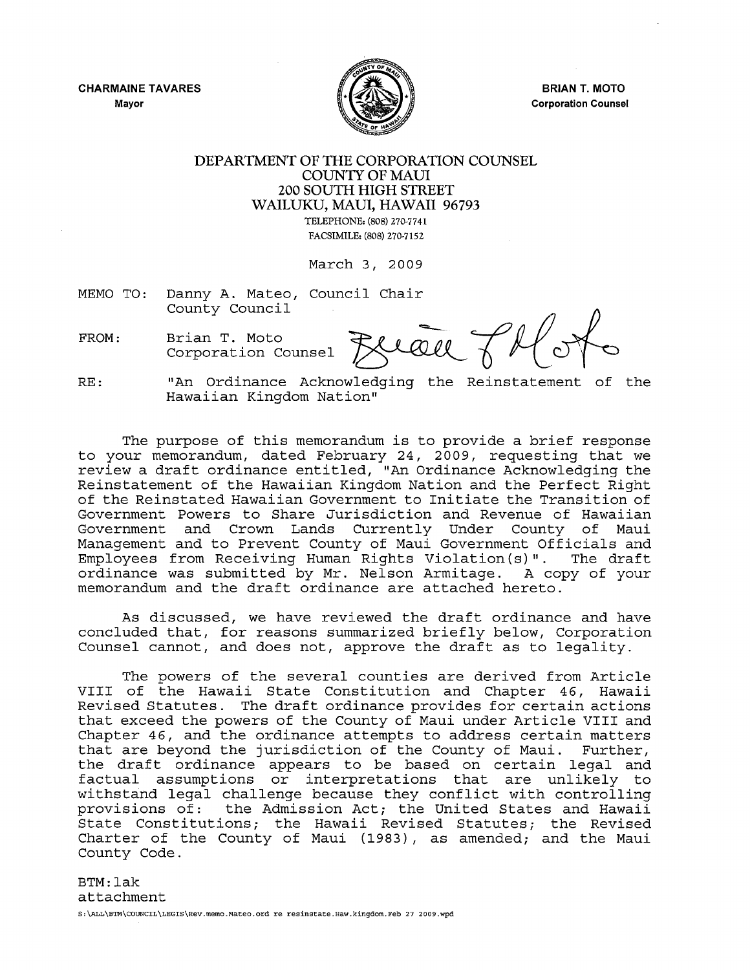CHARMAINE TAVARES Mayor



BRIAN T. MOTO Corporation Counsel

## DEPARTMENT OF THE CORPORATION COUNSEL COUNTY OF MAUl 200 SOUTH HIGH STREET WAILUKU, MAUl, HAWAII 96793

TELEPHONE: (808) 270-7741 FACSIMILE: (808) 270-7152

March 3, 2009

- MEMO TO: Danny A. Mateo, Council Chair
- 

FROM: Brian T. Moto<br>Corporation Counsel **FRIQU** TH

RE: "An Ordinance Acknowledging the Reinstatement of the Hawaiian Kingdom Nation"

The purpose of this memorandum is to provide <sup>a</sup> brief response to your memorandum, dated February 24, 2009, requesting that we review <sup>a</sup> draft ordinance entitled, "An Ordinance Acknowledging the Reinstatement of the Hawaiian Kingdom Nation and the Perfect Right of the Reinstated Hawaiian Government to Initiate the Transition of Government Powers to Share Jurisdiction and Revenue of Hawaiian Government and Crown Lands Currently Under County of Maui Management and to Prevent County of Maui Government Officials and Employees from Receiving Human Rights Violation (s)". The draft ordinance was submitted by Mr. Nelson Armitage. A copy of your memorandum and the draft ordinance are attached hereto.

As discussed, we have reviewed the draft ordinance and have concluded that, for reasons summarized briefly below, Corporation Counsel cannot, and does not, approve the draft as to legality.

The powers of the several counties are derived from Article VIII of the Hawaii State Constitution and Chapter 46, Hawaii Revised Statutes. The draft ordinance provides for certain actions that exceed the powers of the County of Maui under Article VIII and Chapter 46, and the ordinance attempts to address certain matters that are beyond the jurisdiction of the County of Maui. Further, the draft ordinance appears to be based on certain legal and factual assumptions or interpretations that are unlikely to withstand legal challenge because they conflict with controlling provisions of: the Admission Act; the United States and Hawaii State Constitutions*<sup>i</sup>* the Hawaii Revised Statutes; the Revised Charter of the County of Maui (1983), as amended; and the Maui County Code.

BTM:lak attachment S:\ALL\BTM\COUNCIL\LEGIS\Rev.memo.Mateo.ord re resinstate.Haw.kingdom.Feb 27 2009.wpd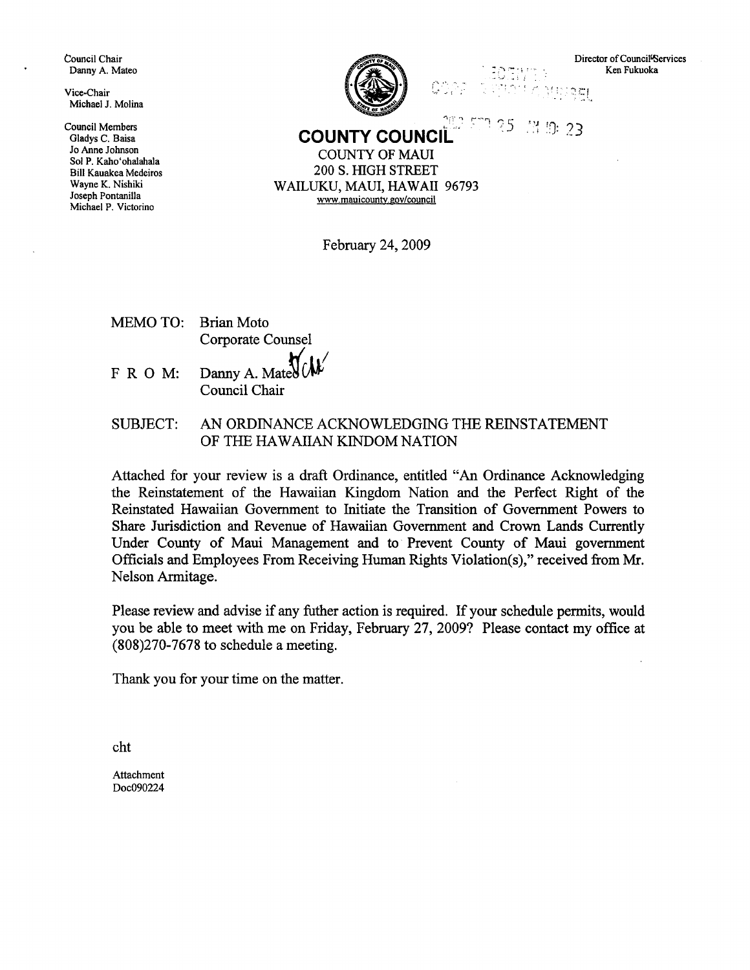Council Chair Danny A. Mateo

Vice-Chair Michael J. Molina

Council Members Gladys C. Baisa Jo Anne Johnson Sol P. Kaho'ohalahala Bill Kauakea Medeiros Wayne K. Nishiki Joseph Pontanilla Michael P. Victorino



Director of Council<sup>i</sup>Services Ken Fukuoka

요즘

**COUNTY COUNCIL 1:25** 13 13 23

,'.'. .' --.f!

COUNTY OF MAUl 200 S. HIGH STREET WAILUKU, MAUl, HAWAII 96793 www.mauicountv,gov/council

February 24, 2009

MEMO TO: FRO M: Brian Moto Corporate Counsel Danny A. Ma

Council Chair

SUBJECT: AN ORDINANCE ACKNOWLEDGING THE REINSTATEMENT OF THE HAWAIIAN KINDOM NATION

Attached for your review is a draft Ordinance, entitled "An Ordinance Acknowledging the Reinstatement of the Hawaiian Kingdom Nation and the Perfect Right of the Reinstated Hawaiian Government to Initiate the Transition of Government Powers to Share Jurisdiction and Revenue of Hawaiian Government and Crown Lands Currently Under County of Maui Management and to Prevent County of Maui government Officials and Employees From Receiving Human Rights Violation(s)," received from Mr. Nelson Armitage.

Please review and advise if any futher action is required. If your schedule permits, would you be able to meet with me on Friday, February 27, 2009? Please contact my office at (808)270-7678 to schedule a meeting.

Thank you for your time on the matter.

cht

Attachment Doc090224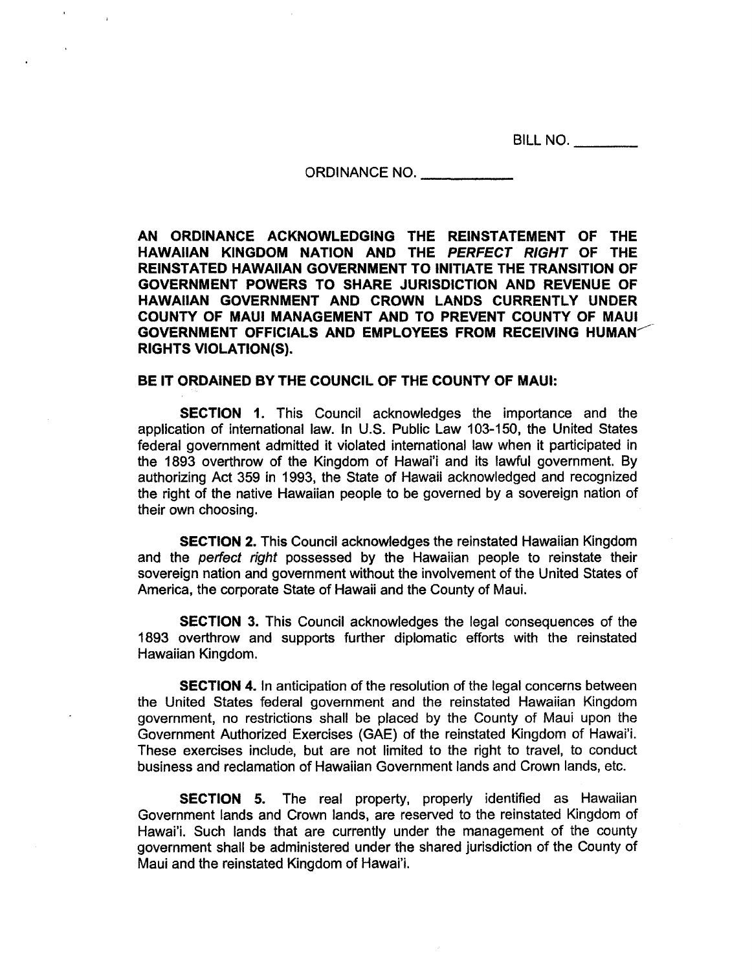BILL NO. \_

#### ORDINANCE NO. \_

**AN ORDINANCE ACKNOWLEDGING THE REINSTATEMENT OF THE HAWAIIAN KINGDOM NATION AND THE PERFECT RIGHT OF THE REINSTATED HAWAIIAN GOVERNMENT TO INITIATE THE TRANSITION OF GOVERNMENT POWERS TO SHARE JURISDICTION AND REVENUE OF HAWAIIAN GOVERNMENT AND CROWN LANDS CURRENTLY UNDER COUNTY OF MAUl MANAGEMENT AND TO PREVENT COUNTY OF MAUl GOVERNMENT OFFICIALS AND EMPLOYEES FROM RECEIVING HUMAN<sup>-</sup> RIGHTS VIOLATION(S).**

### **BE IT ORDAINED BY THE COUNCIL OF THE COUNTY OF MAUl:**

**SECTION** 1. This Council acknowledges the importance and the application of international law. In U.S. Public Law 103-150, the United States federal government admitted it violated international law when it participated in the 1893 overthrow of the Kingdom of Hawai'j and its lawful government. By authorizing Act 359 in 1993, the State of Hawaii acknowledged and recognized the right of the native Hawaiian people to be governed by a sovereign nation of their own choosing.

**SECTION** 2. This Council acknowledges the reinstated Hawaiian Kingdom and the perfect right possessed by the Hawaiian people to reinstate their sovereign nation and government without the involvement of the United States of America, the corporate State of Hawaii and the County of Maui.

**SECTION 3.** This Council acknowledges the legal consequences of the 1893 overthrow and supports further diplomatic efforts with the reinstated Hawaiian Kingdom.

**SECTION** 4. In anticipation of the resolution of the legal concerns between the United States federal government and the reinstated Hawaiian Kingdom government, no restrictions shall be placed by the County of Maui upon the Government Authorized. Exercises (GAE) of the reinstated Kingdom of Hawai'i. These exercises include, but are not limited to the right to travel, to conduct business and reclamation of Hawaiian Government lands and Crown lands, etc.

**SECTION 5.** The real property, properly identified as Hawaiian Government lands and Crown lands, are reserved to the reinstated Kingdom of Hawai'i. Such lands that are currently under the management of the county government shall be administered under the shared jurisdiction of the County of Maui and the reinstated Kingdom of Hawai'i.